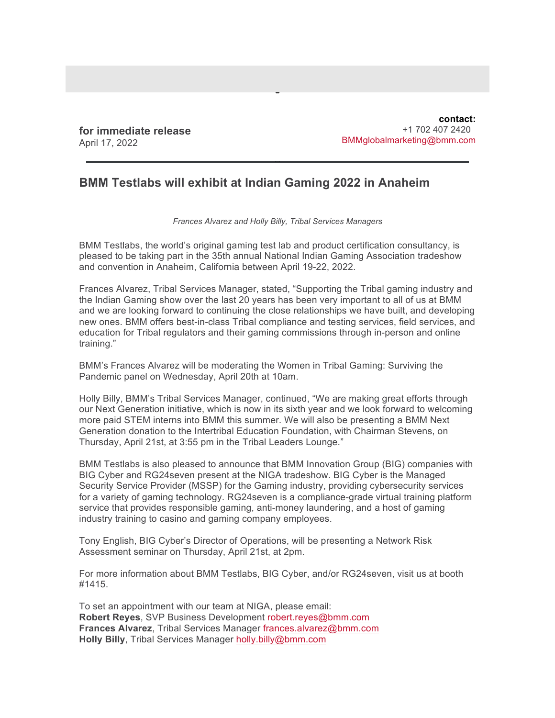**for immediate release** April 17, 2022

**contact:** +1 702 407 2420 BMMglobalmarketing@bmm.com

## **BMM Testlabs will exhibit at Indian Gaming 2022 in Anaheim**

## *Frances Alvarez and Holly Billy, Tribal Services Managers*

BMM Testlabs, the world's original gaming test lab and product certification consultancy, is pleased to be taking part in the 35th annual National Indian Gaming Association tradeshow and convention in Anaheim, California between April 19-22, 2022.

Frances Alvarez, Tribal Services Manager, stated, "Supporting the Tribal gaming industry and the Indian Gaming show over the last 20 years has been very important to all of us at BMM and we are looking forward to continuing the close relationships we have built, and developing new ones. BMM offers best-in-class Tribal compliance and testing services, field services, and education for Tribal regulators and their gaming commissions through in-person and online training."

BMM's Frances Alvarez will be moderating the Women in Tribal Gaming: Surviving the Pandemic panel on Wednesday, April 20th at 10am.

Holly Billy, BMM's Tribal Services Manager, continued, "We are making great efforts through our Next Generation initiative, which is now in its sixth year and we look forward to welcoming more paid STEM interns into BMM this summer. We will also be presenting a BMM Next Generation donation to the Intertribal Education Foundation, with Chairman Stevens, on Thursday, April 21st, at 3:55 pm in the Tribal Leaders Lounge."

BMM Testlabs is also pleased to announce that BMM Innovation Group (BIG) companies with BIG Cyber and RG24seven present at the NIGA tradeshow. BIG Cyber is the Managed Security Service Provider (MSSP) for the Gaming industry, providing cybersecurity services for a variety of gaming technology. RG24seven is a compliance-grade virtual training platform service that provides responsible gaming, anti-money laundering, and a host of gaming industry training to casino and gaming company employees.

Tony English, BIG Cyber's Director of Operations, will be presenting a Network Risk Assessment seminar on Thursday, April 21st, at 2pm.

For more information about BMM Testlabs, BIG Cyber, and/or RG24seven, visit us at booth #1415.

To set an appointment with our team at NIGA, please email: **Robert Reyes**, SVP Business Development robert.reyes@bmm.com **Frances Alvarez**, Tribal Services Manager frances.alvarez@bmm.com **Holly Billy**, Tribal Services Manager holly.billy@bmm.com